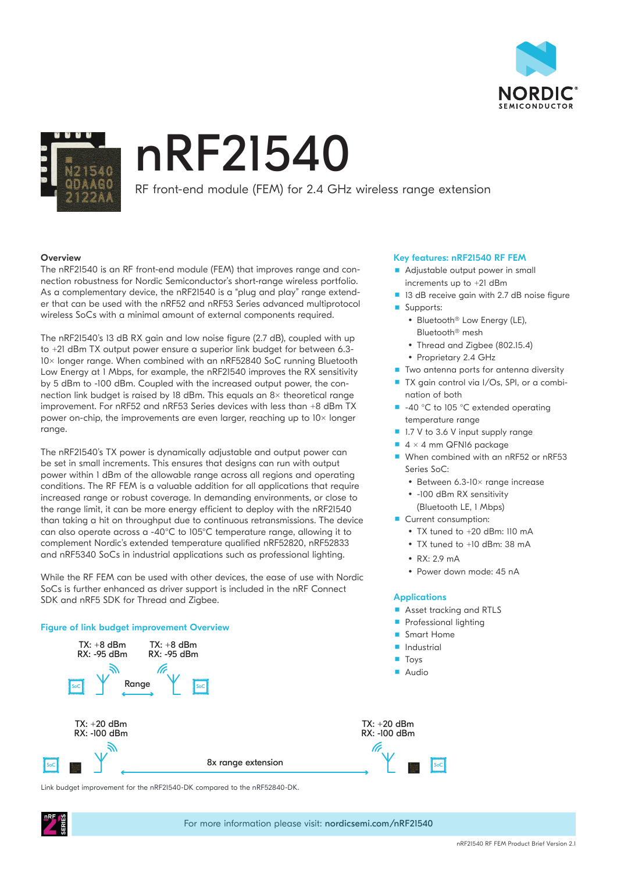



# nRF21540

RF front-end module (FEM) for 2.4 GHz wireless range extension

## **Overview**

The nRF21540 is an RF front-end module (FEM) that improves range and connection robustness for Nordic Semiconductor's short-range wireless portfolio. As a complementary device, the nRF21540 is a "plug and play" range extender that can be used with the nRF52 and nRF53 Series advanced multiprotocol wireless SoCs with a minimal amount of external components required.

The nRF21540's 13 dB RX gain and low noise figure (2.7 dB), coupled with up to +21 dBm TX output power ensure a superior link budget for between 6.3-10x longer range. When combined with an nRF52840 SoC running Bluetooth Low Energy at 1 Mbps, for example, the nRF21540 improves the RX sensitivity by 5 dBm to -100 dBm. Coupled with the increased output power, the connection link budget is raised by 18 dBm. This equals an  $8\times$  theoretical range improvement. For nRF52 and nRF53 Series devices with less than +8 dBm TX power on-chip, the improvements are even larger, reaching up to  $10\times$  longer range.

The nRF21540's TX power is dynamically adjustable and output power can be set in small increments. This ensures that designs can run with output power within 1 dBm of the allowable range across all regions and operating conditions. The RF FEM is a valuable addition for all applications that require increased range or robust coverage. In demanding environments, or close to the range limit, it can be more energy efficient to deploy with the nRF21540 than taking a hit on throughput due to continuous retransmissions. The device can also operate across a -40°C to 105°C temperature range, allowing it to complement Nordic's extended temperature qualified nRF52820, nRF52833 and nRF5340 SoCs in industrial applications such as professional lighting.

While the RF FEM can be used with other devices, the ease of use with Nordic SoCs is further enhanced as driver support is included in the nRF Connect SDK and nRF5 SDK for Thread and Zigbee.

# Figure of link budget improvement Overview



Link budget improvement for the nRF21540-DK compared to the nRF52840-DK.

### Key features: nRF21540 RF FEM

- Adjustable output power in small increments up to +21 dBm
- 13 dB receive gain with 2.7 dB noise figure
- **Supports:** • Bluetooth<sup>®</sup> Low Energy (LE),
	- Bluetooth® mesh
	- Thread and Zigbee (802.15.4)
	- Proprietary 2.4 GHz
- Two antenna ports for antenna diversity
- TX gain control via I/Os, SPI, or a combination of both
- -40 °C to 105 °C extended operating temperature range
- 1.7 V to 3.6 V input supply range
- $4 \times 4$  mm QFN16 package
- When combined with an nRF52 or nRF53 Series SoC:
	- Between 6.3-10× range increase
	- y -100 dBm RX sensitivity (Bluetooth LE, 1 Mbps)
- Current consumption:
	- TX tuned to +20 dBm: 110 mA
	- y TX tuned to +10 dBm: 38 mA
	- $\cdot$  RX: 2.9 mA
	- Power down mode: 45 nA

#### **Applications**

- Asset tracking and RTLS
- Professional lighting

SoC

- Smart Home
- Industrial